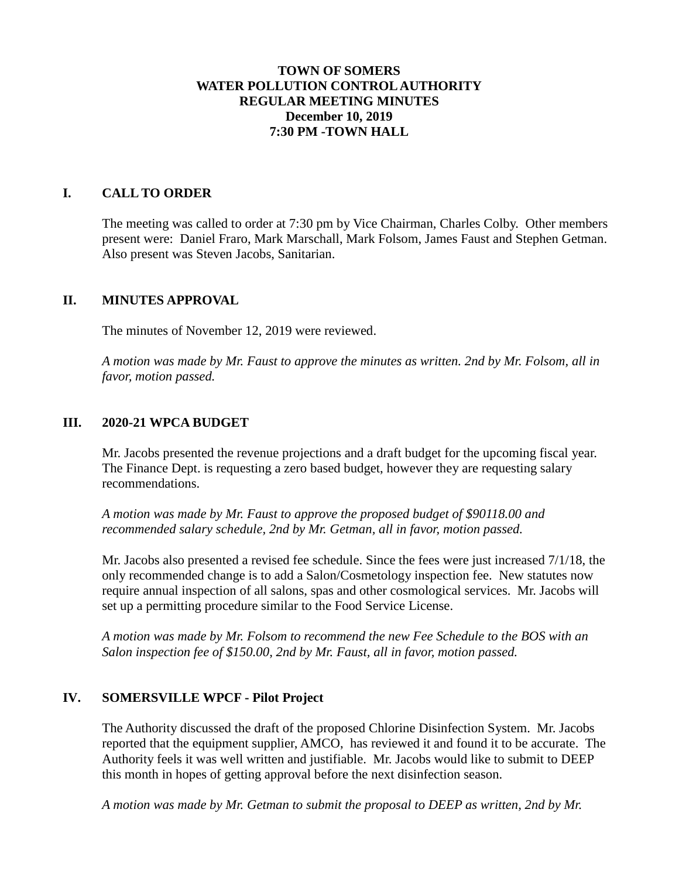## **TOWN OF SOMERS WATER POLLUTION CONTROL AUTHORITY REGULAR MEETING MINUTES December 10, 2019 7:30 PM -TOWN HALL**

## **I. CALL TO ORDER**

The meeting was called to order at 7:30 pm by Vice Chairman, Charles Colby. Other members present were: Daniel Fraro, Mark Marschall, Mark Folsom, James Faust and Stephen Getman. Also present was Steven Jacobs, Sanitarian.

#### **II. MINUTES APPROVAL**

The minutes of November 12, 2019 were reviewed.

*A motion was made by Mr. Faust to approve the minutes as written. 2nd by Mr. Folsom, all in favor, motion passed.*

#### **III. 2020-21 WPCA BUDGET**

Mr. Jacobs presented the revenue projections and a draft budget for the upcoming fiscal year. The Finance Dept. is requesting a zero based budget, however they are requesting salary recommendations.

*A motion was made by Mr. Faust to approve the proposed budget of \$90118.00 and recommended salary schedule, 2nd by Mr. Getman, all in favor, motion passed.*

Mr. Jacobs also presented a revised fee schedule. Since the fees were just increased 7/1/18, the only recommended change is to add a Salon/Cosmetology inspection fee. New statutes now require annual inspection of all salons, spas and other cosmological services. Mr. Jacobs will set up a permitting procedure similar to the Food Service License.

*A motion was made by Mr. Folsom to recommend the new Fee Schedule to the BOS with an Salon inspection fee of \$150.00, 2nd by Mr. Faust, all in favor, motion passed.*

#### **IV. SOMERSVILLE WPCF - Pilot Project**

The Authority discussed the draft of the proposed Chlorine Disinfection System. Mr. Jacobs reported that the equipment supplier, AMCO, has reviewed it and found it to be accurate. The Authority feels it was well written and justifiable. Mr. Jacobs would like to submit to DEEP this month in hopes of getting approval before the next disinfection season.

*A motion was made by Mr. Getman to submit the proposal to DEEP as written, 2nd by Mr.*